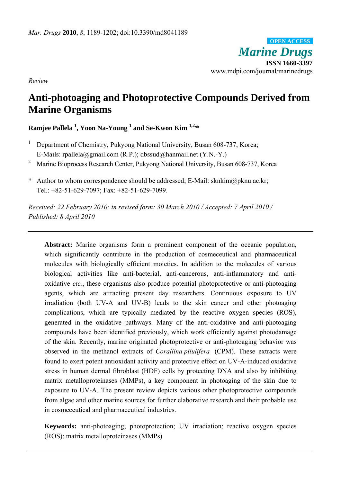*Marine Drugs* **ISSN 1660-3397**  www.mdpi.com/journal/marinedrugs **OPEN ACCESS**

*Review* 

# **Anti-photoaging and Photoprotective Compounds Derived from Marine Organisms**

**Ramjee Pallela 1 , Yoon Na-Young 1 and Se-Kwon Kim 1,2,\*** 

- <sup>1</sup> Department of Chemistry, Pukyong National University, Busan 608-737, Korea; E-Mails: rpallela@gmail.com (R.P.); dbssud@hanmail.net (Y.N.-Y.)
- <sup>2</sup> Marine Bioprocess Research Center, Pukyong National University, Busan 608-737, Korea
- \* Author to whom correspondence should be addressed; E-Mail: sknkim@pknu.ac.kr; Tel.: +82-51-629-7097; Fax: +82-51-629-7099.

*Received: 22 February 2010; in revised form: 30 March 2010 / Accepted: 7 April 2010 / Published: 8 April 2010* 

**Abstract:** Marine organisms form a prominent component of the oceanic population, which significantly contribute in the production of cosmeceutical and pharmaceutical molecules with biologically efficient moieties. In addition to the molecules of various biological activities like anti-bacterial, anti-cancerous, anti-inflammatory and antioxidative *etc.*, these organisms also produce potential photoprotective or anti-photoaging agents, which are attracting present day researchers. Continuous exposure to UV irradiation (both UV-A and UV-B) leads to the skin cancer and other photoaging complications, which are typically mediated by the reactive oxygen species (ROS), generated in the oxidative pathways. Many of the anti-oxidative and anti-photoaging compounds have been identified previously, which work efficiently against photodamage of the skin. Recently, marine originated photoprotective or anti-photoaging behavior was observed in the methanol extracts of *Corallina pilulifera* (CPM). These extracts were found to exert potent antioxidant activity and protective effect on UV-A-induced oxidative stress in human dermal fibroblast (HDF) cells by protecting DNA and also by inhibiting matrix metalloproteinases (MMPs), a key component in photoaging of the skin due to exposure to UV-A. The present review depicts various other photoprotective compounds from algae and other marine sources for further elaborative research and their probable use in cosmeceutical and pharmaceutical industries.

**Keywords:** anti-photoaging; photoprotection; UV irradiation; reactive oxygen species (ROS); matrix metalloproteinases (MMPs)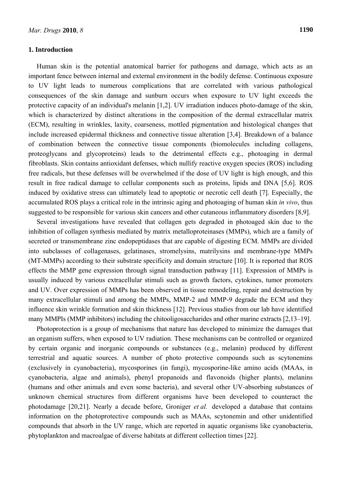#### **1. Introduction**

Human skin is the potential anatomical barrier for pathogens and damage, which acts as an important fence between internal and external environment in the bodily defense. Continuous exposure to UV light leads to numerous complications that are correlated with various pathological consequences of the skin damage and sunburn occurs when exposure to UV light exceeds the protective capacity of an individual's melanin [1,2]. UV irradiation induces photo-damage of the skin, which is characterized by distinct alterations in the composition of the dermal extracellular matrix (ECM), resulting in wrinkles, laxity, coarseness, mottled pigmentation and histological changes that include increased epidermal thickness and connective tissue alteration [3,4]. Breakdown of a balance of combination between the connective tissue components (biomolecules including collagens, proteoglycans and glycoproteins) leads to the detrimental effects e.g., photoaging in dermal fibroblasts. Skin contains antioxidant defenses, which nullify reactive oxygen species (ROS) including free radicals, but these defenses will be overwhelmed if the dose of UV light is high enough, and this result in free radical damage to cellular components such as proteins, lipids and DNA [5,6]. ROS induced by oxidative stress can ultimately lead to apoptotic or necrotic cell death [7]. Especially, the accumulated ROS plays a critical role in the intrinsic aging and photoaging of human skin *in vivo*, thus suggested to be responsible for various skin cancers and other cutaneous inflammatory disorders [8,9].

Several investigations have revealed that collagen gets degraded in photoaged skin due to the inhibition of collagen synthesis mediated by matrix metalloproteinases (MMPs), which are a family of secreted or transmembrane zinc endopeptidases that are capable of digesting ECM. MMPs are divided into subclasses of collagenases, gelatinases, stromelysins, matrilysins and membrane-type MMPs (MT-MMPs) according to their substrate specificity and domain structure [10]. It is reported that ROS effects the MMP gene expression through signal transduction pathway [11]. Expression of MMPs is usually induced by various extracellular stimuli such as growth factors, cytokines, tumor promoters and UV. Over expression of MMPs has been observed in tissue remodeling, repair and destruction by many extracellular stimuli and among the MMPs, MMP-2 and MMP-9 degrade the ECM and they influence skin wrinkle formation and skin thickness [12]. Previous studies from our lab have identified many MMPIs (MMP inhibitors) including the chitooligosaccharides and other marine extracts [2,13–19].

Photoprotection is a group of mechanisms that nature has developed to minimize the damages that an organism suffers, when exposed to UV radiation. These mechanisms can be controlled or organized by certain organic and inorganic compounds or substances (e.g., melanin) produced by different terrestrial and aquatic sources. A number of photo protective compounds such as scytonemins (exclusively in cyanobacteria), mycosporines (in fungi), mycosporine-like amino acids (MAAs, in cyanobacteria, algae and animals), phenyl propanoids and flavonoids (higher plants), melanins (humans and other animals and even some bacteria), and several other UV-absorbing substances of unknown chemical structures from different organisms have been developed to counteract the photodamage [20,21]. Nearly a decade before, Groniger *et al.* developed a database that contains information on the photoprotective compounds such as MAAs, scytonemin and other unidentified compounds that absorb in the UV range, which are reported in aquatic organisms like cyanobacteria, phytoplankton and macroalgae of diverse habitats at different collection times [22].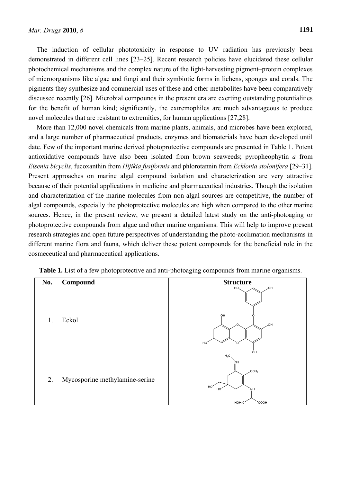The induction of cellular phototoxicity in response to UV radiation has previously been demonstrated in different cell lines [23–25]. Recent research policies have elucidated these cellular photochemical mechanisms and the complex nature of the light-harvesting pigment–protein complexes of microorganisms like algae and fungi and their symbiotic forms in lichens, sponges and corals. The pigments they synthesize and commercial uses of these and other metabolites have been comparatively discussed recently [26]. Microbial compounds in the present era are exerting outstanding potentialities for the benefit of human kind; significantly, the extremophiles are much advantageous to produce novel molecules that are resistant to extremities, for human applications [27,28].

More than 12,000 novel chemicals from marine plants, animals, and microbes have been explored, and a large number of pharmaceutical products, enzymes and biomaterials have been developed until date. Few of the important marine derived photoprotective compounds are presented in Table 1. Potent antioxidative compounds have also been isolated from brown seaweeds; pyropheophytin *a* from *Eisenia bicyclis*, fucoxanthin from *Hijikia fusiformis* and phlorotannin from *Ecklonia stolonifera* [29–31]. Present approaches on marine algal compound isolation and characterization are very attractive because of their potential applications in medicine and pharmaceutical industries. Though the isolation and characterization of the marine molecules from non-algal sources are competitive, the number of algal compounds, especially the photoprotective molecules are high when compared to the other marine sources. Hence, in the present review, we present a detailed latest study on the anti-photoaging or photoprotective compounds from algae and other marine organisms. This will help to improve present research strategies and open future perspectives of understanding the photo-acclimation mechanisms in different marine flora and fauna, which deliver these potent compounds for the beneficial role in the cosmeceutical and pharmaceutical applications.

| No. | Compound                       | <b>Structure</b>                                                                    |
|-----|--------------------------------|-------------------------------------------------------------------------------------|
| 1.  | Eckol                          | HO.<br>HO.<br>OH<br><b>HO</b><br>HO <sub>.</sub><br>റ<br>ÒН                         |
| 2.  | Mycosporine methylamine-serine | $H_3C$<br>NH<br>CCH <sub>3</sub><br>HO'<br>'NH<br>HO<br>HOH <sub>2</sub> C<br>`соон |

**Table 1.** List of a few photoprotective and anti-photoaging compounds from marine organisms.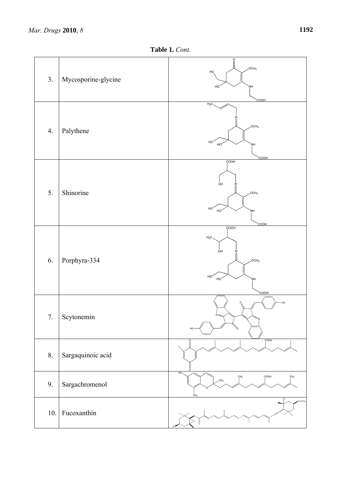**Table 1.** *Cont.*

| 3.  | Mycosporine-glycine | O<br>OCH <sub>3</sub><br>HO <sub>,</sub><br>HO<br>'NН<br><b>COOH</b>                                |
|-----|---------------------|-----------------------------------------------------------------------------------------------------|
| 4.  | Palythene           | $H_3C$<br>OCH <sub>3</sub><br>HO.<br>HO<br>ŅH<br>COOH                                               |
| 5.  | Shinorine           | COOH<br>óн<br>.OCH <sub>3</sub><br>HO<br>HO<br><b>NH</b><br>`COOH                                   |
| 6.  | Porphyra-334        | <b>COOH</b><br>$H_3C$<br>óн<br>N<br>,OCH <sub>3</sub><br>HO <sup>2</sup><br>HO<br>ŅH<br><b>COOH</b> |
| 7.  | Scytonemin          | OН<br>$N =$<br>HO                                                                                   |
| 8.  | Sargaquinoic acid   | COOH                                                                                                |
| 9.  | Sargachromenol      | HO.<br>COOH<br>CH <sub>3</sub><br>CH <sub>3</sub><br>CH <sub>3</sub><br>CH <sub>3</sub>             |
| 10. | Fucoxanthin         | OCOCH <sub>S</sub>                                                                                  |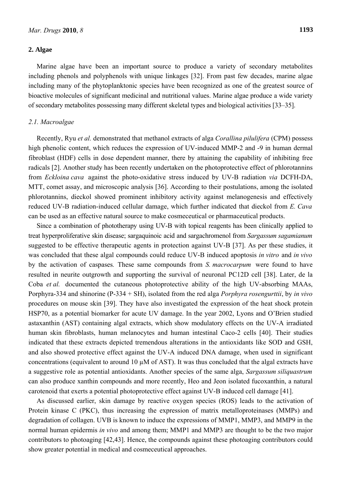## **2. Algae**

Marine algae have been an important source to produce a variety of secondary metabolites including phenols and polyphenols with unique linkages [32]. From past few decades, marine algae including many of the phytoplanktonic species have been recognized as one of the greatest source of bioactive molecules of significant medicinal and nutritional values. Marine algae produce a wide variety of secondary metabolites possessing many different skeletal types and biological activities [33–35].

## *2.1. Macroalgae*

Recently, Ryu *et al.* demonstrated that methanol extracts of alga *Corallina pilulifera* (CPM) possess high phenolic content, which reduces the expression of UV-induced MMP-2 and -9 in human dermal fibroblast (HDF) cells in dose dependent manner, there by attaining the capability of inhibiting free radicals [2]. Another study has been recently undertaken on the photoprotective effect of phlorotannins from *Eckloina cava* against the photo-oxidative stress induced by UV-B radiation *via* DCFH-DA, MTT, comet assay, and microscopic analysis [36]. According to their postulations, among the isolated phlorotannins, dieckol showed prominent inhibitory activity against melanogenesis and effectively reduced UV-B radiation-induced cellular damage, which further indicated that dieckol from *E. Cava*  can be used as an effective natural source to make cosmeceutical or pharmaceutical products.

Since a combination of phototherapy using UV-B with topical reagents has been clinically applied to treat hyperproliferative skin disease; sargaquinoic acid and sargachromenol from *Sargassum sagamianum*  suggested to be effective therapeutic agents in protection against UV-B [37]. As per these studies, it was concluded that these algal compounds could reduce UV-B induced apoptosis *in vitro* and *in vivo*  by the activation of caspases*.* These same compounds from *S. macrocarpum* were found to have resulted in neurite outgrowth and supporting the survival of neuronal PC12D cell [38]. Later, de la Coba *et al.* documented the cutaneous photoprotective ability of the high UV-absorbing MAAs, Porphyra-334 and shinorine (P-334 + SH), isolated from the red alga *Porphyra rosengurttii*, by *in vivo* procedures on mouse skin [39]. They have also investigated the expression of the heat shock protein HSP70, as a potential biomarker for acute UV damage. In the year 2002, Lyons and O'Brien studied astaxanthin (AST) containing algal extracts, which show modulatory effects on the UV-A irradiated human skin fibroblasts, human melanocytes and human intestinal Caco-2 cells [40]. Their studies indicated that these extracts depicted tremendous alterations in the antioxidants like SOD and GSH, and also showed protective effect against the UV-A induced DNA damage, when used in significant concentrations (equivalent to around 10 µM of AST). It was thus concluded that the algal extracts have a suggestive role as potential antioxidants. Another species of the same alga, *Sargassum siliquastrum* can also produce xanthin compounds and more recently, Heo and Jeon isolated fucoxanthin, a natural carotenoid that exerts a potential photoprotective effect against UV-B induced cell damage [41].

As discussed earlier, skin damage by reactive oxygen species (ROS) leads to the activation of Protein kinase C (PKC), thus increasing the expression of matrix metalloproteinases (MMPs) and degradation of collagen. UVB is known to induce the expressions of MMP1, MMP3, and MMP9 in the normal human epidermis *in vivo* and among them; MMP1 and MMP3 are thought to be the two major contributors to photoaging [42,43]. Hence, the compounds against these photoaging contributors could show greater potential in medical and cosmeceutical approaches.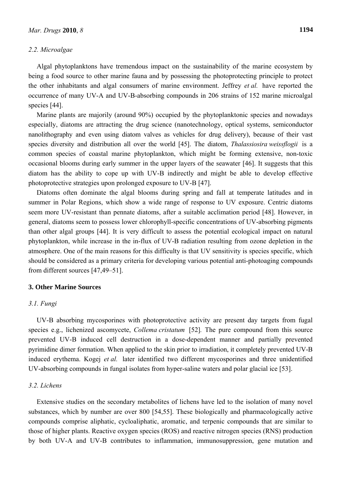# *2.2. Microalgae*

Algal phytoplanktons have tremendous impact on the sustainability of the marine ecosystem by being a food source to other marine fauna and by possessing the photoprotecting principle to protect the other inhabitants and algal consumers of marine environment. Jeffrey *et al.* have reported the occurrence of many UV-A and UV-B-absorbing compounds in 206 strains of 152 marine microalgal species [44].

Marine plants are majorily (around 90%) occupied by the phytoplanktonic species and nowadays especially, diatoms are attracting the drug science (nanotechnology, optical systems, semiconductor nanolithography and even using diatom valves as vehicles for drug delivery), because of their vast species diversity and distribution all over the world [45]. The diatom, *Thalassiosira weissflogii* is a common species of coastal marine phytoplankton, which might be forming extensive, non-toxic occasional blooms during early summer in the upper layers of the seawater [46]. It suggests that this diatom has the ability to cope up with UV-B indirectly and might be able to develop effective photoprotective strategies upon prolonged exposure to UV-B [47].

Diatoms often dominate the algal blooms during spring and fall at temperate latitudes and in summer in Polar Regions, which show a wide range of response to UV exposure. Centric diatoms seem more UV-resistant than pennate diatoms, after a suitable acclimation period [48]. However, in general, diatoms seem to possess lower chlorophyll-specific concentrations of UV-absorbing pigments than other algal groups [44]. It is very difficult to assess the potential ecological impact on natural phytoplankton, while increase in the in-flux of UV-B radiation resulting from ozone depletion in the atmosphere. One of the main reasons for this difficulty is that UV sensitivity is species specific, which should be considered as a primary criteria for developing various potential anti-photoaging compounds from different sources [47,49–51].

#### **3. Other Marine Sources**

## *3.1. Fungi*

UV-B absorbing mycosporines with photoprotective activity are present day targets from fugal species e.g., lichenized ascomycete, *Collema cristatum* [52]*.* The pure compound from this source prevented UV-B induced cell destruction in a dose-dependent manner and partially prevented pyrimidine dimer formation. When applied to the skin prior to irradiation, it completely prevented UV-B induced erythema. Kogej *et al.* later identified two different mycosporines and three unidentified UV-absorbing compounds in fungal isolates from hyper-saline waters and polar glacial ice [53].

# *3.2. Lichens*

Extensive studies on the secondary metabolites of lichens have led to the isolation of many novel substances, which by number are over 800 [54,55]. These biologically and pharmacologically active compounds comprise aliphatic, cycloaliphatic, aromatic, and terpenic compounds that are similar to those of higher plants. Reactive oxygen species (ROS) and reactive nitrogen species (RNS) production by both UV-A and UV-B contributes to inflammation, immunosuppression, gene mutation and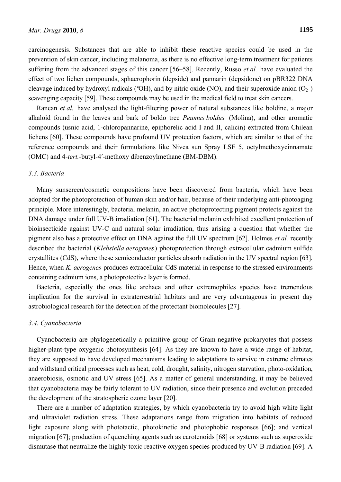carcinogenesis. Substances that are able to inhibit these reactive species could be used in the prevention of skin cancer, including melanoma, as there is no effective long-term treatment for patients suffering from the advanced stages of this cancer [56–58]. Recently, Russo *et al.* have evaluated the effect of two lichen compounds, sphaerophorin (depside) and pannarin (depsidone) on pBR322 DNA cleavage induced by hydroxyl radicals ("OH), and by nitric oxide (NO), and their superoxide anion  $(O_2^-)$ scavenging capacity [59]. These compounds may be used in the medical field to treat skin cancers.

Rancan *et al.* have analysed the light-filtering power of natural substances like boldine, a major alkaloid found in the leaves and bark of boldo tree *Peumus boldus* (Molina), and other aromatic compounds (usnic acid, 1-chloropannarine, epiphorelic acid I and II, calicin) extracted from Chilean lichens [60]. These compounds have profound UV protection factors, which are similar to that of the reference compounds and their formulations like Nivea sun Spray LSF 5, octylmethoxycinnamate (OMC) and 4-*tert.*-butyl-4′-methoxy dibenzoylmethane (BM-DBM).

# *3.3. Bacteria*

Many sunscreen/cosmetic compositions have been discovered from bacteria, which have been adopted for the photoprotection of human skin and/or hair, because of their underlying anti-photoaging principle. More interestingly, bacterial melanin, an active photoprotecting pigment protects against the DNA damage under full UV-B irradiation [61]. The bacterial melanin exhibited excellent protection of bioinsecticide against UV-C and natural solar irradiation, thus arising a question that whether the pigment also has a protective effect on DNA against the full UV spectrum [62]. Holmes *et al.* recently described the bacterial (*Klebsiella aerogenes*) photoprotection through extracellular cadmium sulfide crystallites (CdS), where these semiconductor particles absorb radiation in the UV spectral region [63]. Hence, when *K. aerogenes* produces extracellular CdS material in response to the stressed environments containing cadmium ions, a photoprotective layer is formed.

Bacteria, especially the ones like archaea and other extremophiles species have tremendous implication for the survival in extraterrestrial habitats and are very advantageous in present day astrobiological research for the detection of the protectant biomolecules [27].

#### *3.4. Cyanobacteria*

Cyanobacteria are phylogenetically a primitive group of Gram-negative prokaryotes that possess higher-plant-type oxygenic photosynthesis [64]. As they are known to have a wide range of habitat, they are supposed to have developed mechanisms leading to adaptations to survive in extreme climates and withstand critical processes such as heat, cold, drought, salinity, nitrogen starvation, photo-oxidation, anaerobiosis, osmotic and UV stress [65]. As a matter of general understanding, it may be believed that cyanobacteria may be fairly tolerant to UV radiation, since their presence and evolution preceded the development of the stratospheric ozone layer [20].

There are a number of adaptation strategies, by which cyanobacteria try to avoid high white light and ultraviolet radiation stress. These adaptations range from migration into habitats of reduced light exposure along with phototactic, photokinetic and photophobic responses [66]; and vertical migration [67]; production of quenching agents such as carotenoids [68] or systems such as superoxide dismutase that neutralize the highly toxic reactive oxygen species produced by UV-B radiation [69]. A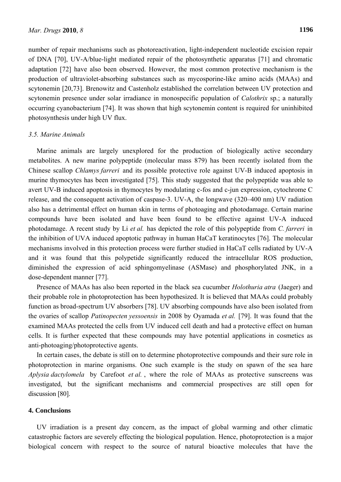number of repair mechanisms such as photoreactivation, light-independent nucleotide excision repair of DNA [70], UV-A/blue-light mediated repair of the photosynthetic apparatus [71] and chromatic adaptation [72] have also been observed. However, the most common protective mechanism is the production of ultraviolet-absorbing substances such as mycosporine-like amino acids (MAAs) and scytonemin [20,73]. Brenowitz and Castenholz established the correlation between UV protection and scytonemin presence under solar irradiance in monospecific population of *Calothrix* sp.; a naturally occurring cyanobacterium [74]. It was shown that high scytonemin content is required for uninhibited photosynthesis under high UV flux.

## *3.5. Marine Animals*

Marine animals are largely unexplored for the production of biologically active secondary metabolites. A new marine polypeptide (molecular mass 879) has been recently isolated from the Chinese scallop *Chlamys farreri* and its possible protective role against UV-B induced apoptosis in murine thymocytes has been investigated [75]. This study suggested that the polypeptide was able to avert UV-B induced apoptosis in thymocytes by modulating c-fos and c-jun expression, cytochrome C release, and the consequent activation of caspase-3. UV-A, the longwave (320–400 nm) UV radiation also has a detrimental effect on human skin in terms of photoaging and photodamage. Certain marine compounds have been isolated and have been found to be effective against UV-A induced photodamage. A recent study by Li *et al.* has depicted the role of this polypeptide from *C. farreri* in the inhibition of UVA induced apoptotic pathway in human HaCaT keratinocytes [76]. The molecular mechanisms involved in this protection process were further studied in HaCaT cells radiated by UV-A and it was found that this polypetide significantly reduced the intracellular ROS production, diminished the expression of acid sphingomyelinase (ASMase) and phosphorylated JNK, in a dose-dependent manner [77].

Presence of MAAs has also been reported in the black sea cucumber *Holothuria atra* (Jaeger) and their probable role in photoprotection has been hypothesized. It is believed that MAAs could probably function as broad-spectrum UV absorbers [78]. UV absorbing compounds have also been isolated from the ovaries of scallop *Patinopecten yessoensis* in 2008 by Oyamada *et al.* [79]. It was found that the examined MAAs protected the cells from UV induced cell death and had a protective effect on human cells. It is further expected that these compounds may have potential applications in cosmetics as anti-photoaging/photoprotective agents.

In certain cases, the debate is still on to determine photoprotective compounds and their sure role in photoprotection in marine organisms. One such example is the study on spawn of the sea hare *Aplysia dactylomela* by Carefoot *et al.* , where the role of MAAs as protective sunscreens was investigated, but the significant mechanisms and commercial prospectives are still open for discussion [80].

## **4. Conclusions**

UV irradiation is a present day concern, as the impact of global warming and other climatic catastrophic factors are severely effecting the biological population. Hence, photoprotection is a major biological concern with respect to the source of natural bioactive molecules that have the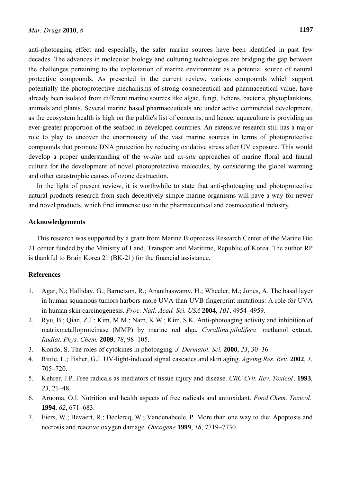anti-photoaging effect and especially, the safer marine sources have been identified in past few decades. The advances in molecular biology and culturing technologies are bridging the gap between the challenges pertaining to the exploitation of marine environment as a potential source of natural protective compounds. As presented in the current review, various compounds which support potentially the photoprotective mechanisms of strong cosmeceutical and pharmaceutical value, have already been isolated from different marine sources like algae, fungi, lichens, bacteria, phytoplanktons, animals and plants. Several marine based pharmaceuticals are under active commercial development, as the ecosystem health is high on the public's list of concerns, and hence, aquaculture is providing an ever-greater proportion of the seafood in developed countries. An extensive research still has a major role to play to uncover the enormousity of the vast marine sources in terms of photoprotective compounds that promote DNA protection by reducing oxidative stress after UV exposure. This would develop a proper understanding of the *in-situ* and *ex-situ* approaches of marine floral and faunal culture for the development of novel photoprotective molecules, by considering the global warming and other catastrophic causes of ozone destruction.

In the light of present review, it is worthwhile to state that anti-photoaging and photoprotective natural products research from such deceptively simple marine organisms will pave a way for newer and novel products, which find immense use in the pharmaceutical and cosmeceutical industry.

# **Acknowledgements**

This research was supported by a grant from Marine Bioprocess Research Center of the Marine Bio 21 center funded by the Ministry of Land, Transport and Maritime, Republic of Korea. The author RP is thankful to Brain Korea 21 (BK-21) for the financial assistance.

# **References**

- 1. Agar, N.; Halliday, G.; Barnetson, R.; Ananthaswamy, H.; Wheeler, M.; Jones, A. The basal layer in human squamous tumors harbors more UVA than UVB fingerprint mutations: A role for UVA in human skin carcinogenesis. *Proc. Natl. Acad. Sci. USA* **2004**, *101*, 4954–4959.
- 2. Ryu, B.; Qian, Z.J.; Kim, M.M.; Nam, K.W.; Kim, S.K. Anti-photoaging activity and inhibition of matrixmetalloproteinase (MMP) by marine red alga, *Corallina pilulifera* methanol extract. *Radiat. Phys. Chem.* **2009**, *78*, 98–105.
- 3. Kondo, S. The roles of cytokines in photoaging. *J. Dermatol. Sci.* **2000**, *23*, 30–36.
- 4. Rittie, L.; Fisher, G.J. UV-light-induced signal cascades and skin aging. *Ageing Res. Rev.* **2002**, *1*, 705–720.
- 5. Kehrer, J.P. Free radicals as mediators of tissue injury and disease. *CRC Crit. Rev. Toxicol*. **1993**, *23*, 21–48.
- 6. Aruoma, O.I. Nutrition and health aspects of free radicals and antioxidant. *Food Chem. Toxicol.* **1994**, *62*, 671–683.
- 7. Fiers, W.; Bevaert, R.; Declercq, W.; Vandenabeele, P. More than one way to die: Apoptosis and necrosis and reactive oxygen damage. *Oncogene* **1999**, *18*, 7719–7730.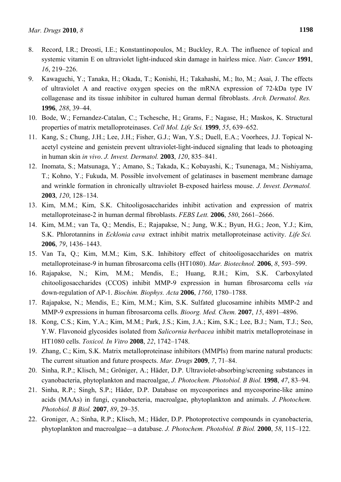- 8. Record, I.R.; Dreosti, I.E.; Konstantinopoulos, M.; Buckley, R.A. The influence of topical and systemic vitamin E on ultraviolet light-induced skin damage in hairless mice. *Nutr. Cancer* **1991**, *16*, 219–226.
- 9. Kawaguchi, Y.; Tanaka, H.; Okada, T.; Konishi, H.; Takahashi, M.; Ito, M.; Asai, J. The effects of ultraviolet A and reactive oxygen species on the mRNA expression of 72-kDa type IV collagenase and its tissue inhibitor in cultured human dermal fibroblasts. *Arch. Dermatol. Res.* **1996**, *288*, 39–44.
- 10. Bode, W.; Fernandez-Catalan, C.; Tschesche, H.; Grams, F.; Nagase, H.; Maskos, K. Structural properties of matrix metalloproteinases. *Cell Mol. Life Sci.* **1999**, *55*, 639–652.
- 11. Kang, S.; Chung, J.H.; Lee, J.H.; Fisher, G.J.; Wan, Y.S.; Duell, E.A.; Voorhees, J.J. Topical Nacetyl cysteine and genistein prevent ultraviolet-light-induced signaling that leads to photoaging in human skin *in vivo*. *J. Invest. Dermatol.* **2003**, *120*, 835–841.
- 12. Inomata, S.; Matsunaga, Y.; Amano, S.; Takada, K.; Kobayashi, K.; Tsunenaga, M.; Nishiyama, T.; Kohno, Y.; Fukuda, M. Possible involvement of gelatinases in basement membrane damage and wrinkle formation in chronically ultraviolet B-exposed hairless mouse. *J. Invest. Dermatol.* **2003**, *120*, 128–134.
- 13. Kim, M.M.; Kim, S.K. Chitooligosaccharides inhibit activation and expression of matrix metalloproteinase-2 in human dermal fibroblasts. *FEBS Lett.* **2006**, *580*, 2661–2666.
- 14. Kim, M.M.; van Ta, Q.; Mendis, E.; Rajapakse, N.; Jung, W.K.; Byun, H.G.; Jeon, Y.J.; Kim, S.K. Phlorotannins in *Ecklonia cava* extract inhibit matrix metalloproteinase activity. *Life Sci.*  **2006**, *79*, 1436–1443.
- 15. Van Ta, Q.; Kim, M.M.; Kim, S.K. Inhibitory effect of chitooligosaccharides on matrix metalloproteinase-9 in human fibrosarcoma cells (HT1080). *Mar. Biotechnol.* **2006**, *8*, 593–599.
- 16. Rajapakse, N.; Kim, M.M.; Mendis, E.; Huang, R.H.; Kim, S.K. Carboxylated chitooligosaccharides (CCOS) inhibit MMP-9 expression in human fibrosarcoma cells *via* down-regulation of AP-1. *Biochim. Biophys. Acta* **2006**, *1760*, 1780–1788.
- 17. Rajapakse, N.; Mendis, E.; Kim, M.M.; Kim, S.K. Sulfated glucosamine inhibits MMP-2 and MMP-9 expressions in human fibrosarcoma cells. *Bioorg. Med. Chem.* **2007**, *15*, 4891–4896.
- 18. Kong, C.S.; Kim, Y.A.; Kim, M.M.; Park, J.S.; Kim, J.A.; Kim, S.K.; Lee, B.J.; Nam, T.J.; Seo, Y.W. Flavonoid glycosides isolated from *Salicornia herbacea* inhibit matrix metalloproteinase in HT1080 cells. *Toxicol. In Vitro* **2008**, *22*, 1742–1748.
- 19. Zhang, C.; Kim, S.K. Matrix metalloproteinase inhibitors (MMPIs) from marine natural products: The current situation and future prospects. *Mar. Drugs* **2009**, *7*, 71–84.
- 20. Sinha, R.P.; Klisch, M.; Gröniger, A.; Häder, D.P. Ultraviolet-absorbing/screening substances in cyanobacteria, phytoplankton and macroalgae, *J. Photochem. Photobiol. B Biol.* **1998**, *47*, 83–94.
- 21. Sinha, R.P.; Singh, S.P.; Häder, D.P. Database on mycosporines and mycosporine-like amino acids (MAAs) in fungi, cyanobacteria, macroalgae, phytoplankton and animals. *J. Photochem. Photobiol. B Biol.* **2007**, *89*, 29–35.
- 22. Groniger, A.; Sinha, R.P.; Klisch, M.; Häder, D.P. Photoprotective compounds in cyanobacteria, phytoplankton and macroalgae—a database. *J. Photochem. Photobiol. B Biol.* **2000**, *58*, 115–122.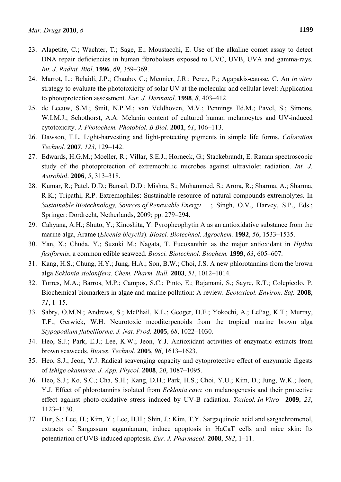- 23. Alapetite, C.; Wachter, T.; Sage, E.; Moustacchi, E. Use of the alkaline comet assay to detect DNA repair deficiencies in human fibrobolasts exposed to UVC, UVB, UVA and gamma-rays. *Int. J. Radiat. Biol*. **1996**, *69*, 359–369.
- 24. Marrot, L.; Belaidi, J.P.; Chaubo, C.; Meunier, J.R.; Perez, P.; Agapakis-causse, C. An *in vitro* strategy to evaluate the phototoxicity of solar UV at the molecular and cellular level: Application to photoprotection assessment. *Eur. J. Dermatol*. **1998**, *8*, 403–412.
- 25. de Leeuw, S.M.; Smit, N.P.M.; van Veldhoven, M.V.; Pennings Ed.M.; Pavel, S.; Simons, W.I.M.J.; Schothorst, A.A. Melanin content of cultured human melanocytes and UV-induced cytotoxicity. *J. Photochem. Photobiol. B Biol.* **2001**, *61*, 106–113.
- 26. Dawson, T.L. Light-harvesting and light-protecting pigments in simple life forms. *Coloration Technol.* **2007**, *123*, 129–142.
- 27. Edwards, H.G.M.; Moeller, R.; Villar, S.E.J.; Horneck, G.; Stackebrandt, E. Raman spectroscopic study of the photoprotection of extremophilic microbes against ultraviolet radiation. *Int. J. Astrobiol*. **2006**, *5*, 313–318.
- 28. Kumar, R.; Patel, D.D.; Bansal, D.D.; Mishra, S.; Mohammed, S.; Arora, R.; Sharma, A.; Sharma, R.K.; Tripathi, R.P. Extremophiles: Sustainable resource of natural compounds-extremolytes. In *Sustainable Biotechnology, Sources of Renewable Energy* ; Singh, O.V., Harvey, S.P., Eds.; Springer: Dordrecht, Netherlands, 2009; pp. 279–294.
- 29. Cahyana, A.H.; Shuto, Y.; Kinoshita, Y. Pyropheophytin A as an antioxidative substance from the marine alga, Arame (*Eicenia bicyclis*). *Biosci. Biotechnol. Agrochem.* **1992**, *56*, 1533–1535.
- 30. Yan, X.; Chuda, Y.; Suzuki M.; Nagata, T. Fucoxanthin as the major antioxidant in *Hijikia fusiformis*, a common edible seaweed. *Biosci. Biotechnol. Biochem.* **1999**, *63*, 605–607.
- 31. Kang, H.S.; Chung, H.Y.; Jung, H.A.; Son, B.W.; Choi, J.S. A new phlorotannins from the brown alga *Ecklonia stolonifera*. *Chem. Pharm. Bull.* **2003**, *51*, 1012–1014.
- 32. Torres, M.A.; Barros, M.P.; Campos, S.C.; Pinto, E.; Rajamani, S.; Sayre, R.T.; Colepicolo, P. Biochemical biomarkers in algae and marine pollution: A review. *Ecotoxicol. Environ. Saf.* **2008**, *71*, 1–15.
- 33. Sabry, O.M.N.; Andrews, S.; McPhail, K.L.; Geoger, D.E.; Yokochi, A.; LePag, K.T.; Murray, T.F.; Gerwick, W.H. Neurotoxic meoditerpenoids from the tropical marine brown alga *Stypopodium flabelliorme*. *J. Nat. Prod.* **2005**, *68*, 1022–1030.
- 34. Heo, S.J.; Park, E.J.; Lee, K.W.; Jeon, Y.J. Antioxidant activities of enzymatic extracts from brown seaweeds. *Biores. Technol.* **2005**, *96*, 1613–1623.
- 35. Heo, S.J.; Jeon, Y.J. Radical scavenging capacity and cytoprotective effect of enzymatic digests of *Ishige okamurae*. *J. App. Phycol.* **2008**, *20*, 1087–1095.
- 36. Heo, S.J.; Ko, S.C.; Cha, S.H.; Kang, D.H.; Park, H.S.; Choi, Y.U.; Kim, D.; Jung, W.K.; Jeon, Y.J. Effect of phlorotannins isolated from *Ecklonia cava* on melanogenesis and their protective effect against photo-oxidative stress induced by UV-B radiation. *Toxicol. In Vitro* **2009**, *23*, 1123–1130.
- 37. Hur, S.; Lee, H.; Kim, Y.; Lee, B.H.; Shin, J.; Kim, T.Y. Sargaquinoic acid and sargachromenol, extracts of Sargassum sagamianum, induce apoptosis in HaCaT cells and mice skin: Its potentiation of UVB-induced apoptosis. *Eur. J. Pharmacol*. **2008**, *582*, 1–11.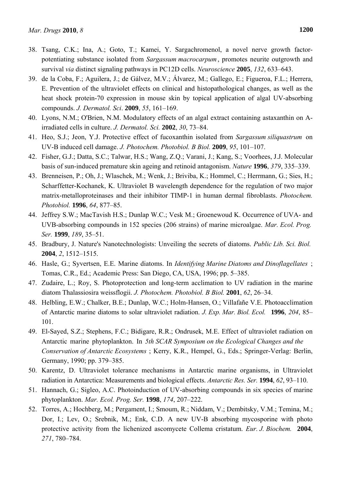- 38. Tsang, C.K.; Ina, A.; Goto, T.; Kamei, Y. Sargachromenol, a novel nerve growth factorpotentiating substance isolated from *Sargassum macrocarpum*, promotes neurite outgrowth and survival *via* distinct signaling pathways in PC12D cells. *Neuroscience* **2005**, *132*, 633–643.
- 39. de la Coba, F.; Aguilera, J.; de Gálvez, M.V.; Álvarez, M.; Gallego, E.; Figueroa, F.L.; Herrera, E. Prevention of the ultraviolet effects on clinical and histopathological changes, as well as the heat shock protein-70 expression in mouse skin by topical application of algal UV-absorbing compounds. *J. Dermatol. Sci*. **2009**, *55*, 161–169.
- 40. Lyons, N.M.; O'Brien, N.M. Modulatory effects of an algal extract containing astaxanthin on Airradiated cells in culture. *J. Dermatol. Sci.* **2002**, *30*, 73–84.
- 41. Heo, S.J.; Jeon, Y.J. Protective effect of fucoxanthin isolated from *Sargassum siliquastrum* on UV-B induced cell damage. *J. Photochem. Photobiol. B Biol.* **2009**, *95*, 101–107.
- 42. Fisher, G.J.; Datta, S.C.; Talwar, H.S.; Wang, Z.Q.; Varani, J.; Kang, S.; Voorhees, J.J. Molecular basis of sun-induced premature skin ageing and retinoid antagonism. *Nature* **1996**, *379*, 335–339.
- 43. Brenneisen, P.; Oh, J.; Wlaschek, M.; Wenk, J.; Briviba, K.; Hommel, C.; Herrmann, G.; Sies, H.; Scharffetter-Kochanek, K. Ultraviolet B wavelength dependence for the regulation of two major matrix-metalloproteinases and their inhibitor TIMP-1 in human dermal fibroblasts. *Photochem. Photobiol.* **1996**, *64*, 877–85.
- 44. Jeffrey S.W.; MacTavish H.S.; Dunlap W.C.; Vesk M.; Groenewoud K. Occurrence of UVA- and UVB-absorbing compounds in 152 species (206 strains) of marine microalgae. *Mar. Ecol. Prog. Ser.* **1999**, *189*, 35–51.
- 45. Bradbury, J. Nature's Nanotechnologists: Unveiling the secrets of diatoms. *Public Lib. Sci. Biol.* **2004**, *2*, 1512–1515.
- 46. Hasle, G.; Syvertsen, E.E. Marine diatoms. In *Identifying Marine Diatoms and Dinoflagellates* ; Tomas, C.R., Ed.; Academic Press: San Diego, CA, USA, 1996; pp. 5–385.
- 47. Zudaire, L.; Roy, S. Photoprotection and long-term acclimation to UV radiation in the marine diatom Thalassiosira weissflogii. *J. Photochem. Photobiol. B Biol.* **2001**, *62*, 26–34.
- 48. Helbling, E.W.; Chalker, B.E.; Dunlap, W.C.; Holm-Hansen, O.; Villafañe V.E. Photoacclimation of Antarctic marine diatoms to solar ultraviolet radiation. *J. Exp. Mar. Biol. Ecol.* **1996**, *204*, 85– 101.
- 49. El-Sayed, S.Z.; Stephens, F.C.; Bidigare, R.R.; Ondrusek, M.E. Effect of ultraviolet radiation on Antarctic marine phytoplankton. In *5th SCAR Symposium on the Ecological Changes and the Conservation of Antarctic Ecosystems* ; Kerry, K.R., Hempel, G., Eds.; Springer-Verlag: Berlin, Germany, 1990; pp. 379–385.
- 50. Karentz, D. Ultraviolet tolerance mechanisms in Antarctic marine organisms, in Ultraviolet radiation in Antarctica: Measurements and biological effects. *Antarctic Res. Ser.* **1994**, *62*, 93–110.
- 51. Hannach, G.; Sigleo, A.C. Photoinduction of UV-absorbing compounds in six species of marine phytoplankton. *Mar. Ecol. Prog. Ser.* **1998**, *174*, 207–222.
- 52. Torres, A.; Hochberg, M.; Pergament, I.; Smoum, R.; Niddam, V.; Dembitsky, V.M.; Temina, M.; Dor, I.; Lev, O.; Srebnik, M.; Enk, C.D. A new UV-B absorbing mycosporine with photo protective activity from the lichenized ascomycete Collema cristatum. *Eur. J. Biochem.* **2004**, *271*, 780–784.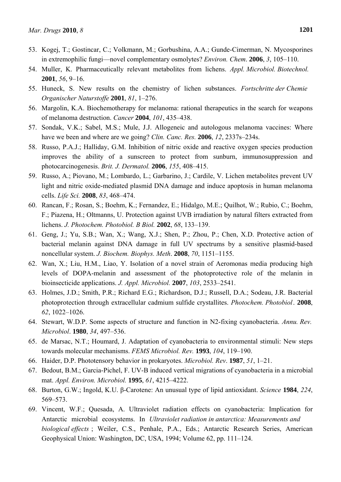- 53. Kogej, T.; Gostincar, C.; Volkmann, M.; Gorbushina, A.A.; Gunde-Cimerman, N. Mycosporines in extremophilic fungi—novel complementary osmolytes? *Environ. Chem*. **2006**, *3*, 105–110.
- 54. Muller, K. Pharmaceutically relevant metabolites from lichens. *Appl. Microbiol. Biotechnol.* **2001**, *56*, 9–16.
- 55. Huneck, S. New results on the chemistry of lichen substances. *Fortschritte der Chemie Organischer Naturstoffe* **2001**, *81*, 1–276.
- 56. Margolin, K.A. Biochemotherapy for melanoma: rational therapeutics in the search for weapons of melanoma destruction. *Cancer* **2004**, *101*, 435–438.
- 57. Sondak, V.K.; Sabel, M.S.; Mule, J.J. Allogeneic and autologous melanoma vaccines: Where have we been and where are we going? *Clin. Canc. Res.* **2006**, *12*, 2337s–234s.
- 58. Russo, P.A.J.; Halliday, G.M. Inhibition of nitric oxide and reactive oxygen species production improves the ability of a sunscreen to protect from sunburn, immunosuppression and photocarcinogenesis. *Brit. J. Dermatol.* **2006**, *155*, 408–415.
- 59. Russo, A.; Piovano, M.; Lombardo, L.; Garbarino, J.; Cardile, V. Lichen metabolites prevent UV light and nitric oxide-mediated plasmid DNA damage and induce apoptosis in human melanoma cells. *Life Sci.* **2008**, *83*, 468–474.
- 60. Rancan, F.; Rosan, S.; Boehm, K.; Fernandez, E.; Hidalgo, M.E.; Quilhot, W.; Rubio, C.; Boehm, F.; Piazena, H.; Oltmanns, U. Protection against UVB irradiation by natural filters extracted from lichens. *J. Photochem. Photobiol. B Biol.* **2002**, *68*, 133–139.
- 61. Geng, J.; Yu, S.B.; Wan, X.; Wang, X.J.; Shen, P.; Zhou, P.; Chen, X.D. Protective action of bacterial melanin against DNA damage in full UV spectrums by a sensitive plasmid-based noncellular system. *J. Biochem. Biophys. Meth*. **2008**, *70*, 1151–1155.
- 62. Wan, X.; Liu, H.M., Liao, Y. Isolation of a novel strain of Aeromonas media producing high levels of DOPA-melanin and assessment of the photoprotective role of the melanin in bioinsecticide applications. *J. Appl. Microbiol.* **2007**, *103*, 2533–2541.
- 63. Holmes, J.D.; Smith, P.R.; Richard E.G.; Richardson, D.J.; Russell, D.A.; Sodeau, J.R. Bacterial photoprotection through extracellular cadmium sulfide crystallites. *Photochem. Photobiol*. **2008**, *62*, 1022–1026.
- 64. Stewart, W.D.P. Some aspects of structure and function in N2-fixing cyanobacteria. *Annu. Rev. Microbiol*. **1980**, *34*, 497–536.
- 65. de Marsac, N.T.; Houmard, J. Adaptation of cyanobacteria to environmental stimuli: New steps towards molecular mechanisms. *FEMS Microbiol. Rev.* **1993**, *104*, 119–190.
- 66. Haider, D.P. Phototensory behavior in prokaryotes. *Microbiol. Rev*. **1987**, *51*, 1–21.
- 67. Bedout, B.M.; Garcia-Pichel, F. UV-B induced vertical migrations of cyanobacteria in a microbial mat. *Appl. Environ. Microbiol.* **1995**, *61*, 4215–4222.
- 68. Burton, G.W.; Ingold, K.U. β-Carotene: An unusual type of lipid antioxidant. *Science* **1984**, *224*, 569–573.
- 69. Vincent, W.F.; Quesada, A. Ultraviolet radiation effects on cyanobacteria: Implication for Antarctic microbial ecosystems. In *Ultraviolet radiation in antarctica: Measurements and biological effects* ; Weiler, C.S., Penhale, P.A., Eds.; Antarctic Research Series, American Geophysical Union: Washington, DC, USA, 1994; Volume 62, pp. 111–124.